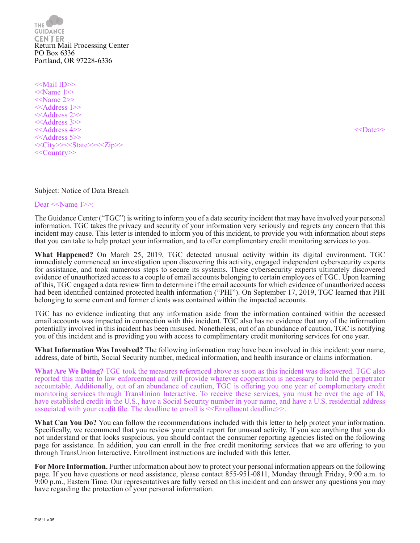THE. **GUIDANCE CENTER** Return Mail Processing Center PO Box 6336 Portland, OR 97228-6336

<<Mail ID>>  $\le$ Name 1>> <<Name 2>> <<Address 1>> <<Address 2>> <<Address 3>> <<Address 4>> <<Date>> <<Address 5>> <<City>><<State>><<Zip>> <<Country>>

### Subject: Notice of Data Breach

Dear <<Name 1>>:

The Guidance Center ("TGC") is writing to inform you of a data security incident that may have involved your personal information. TGC takes the privacy and security of your information very seriously and regrets any concern that this incident may cause. This letter is intended to inform you of this incident, to provide you with information about steps that you can take to help protect your information, and to offer complimentary credit monitoring services to you.

**What Happened?** On March 25, 2019, TGC detected unusual activity within its digital environment. TGC immediately commenced an investigation upon discovering this activity, engaged independent cybersecurity experts for assistance, and took numerous steps to secure its systems. These cybersecurity experts ultimately discovered evidence of unauthorized access to a couple of email accounts belonging to certain employees of TGC. Upon learning of this, TGC engaged a data review firm to determine if the email accounts for which evidence of unauthorized access had been identified contained protected health information ("PHI"). On September 17, 2019, TGC learned that PHI belonging to some current and former clients was contained within the impacted accounts.

TGC has no evidence indicating that any information aside from the information contained within the accessed email accounts was impacted in connection with this incident. TGC also has no evidence that any of the information potentially involved in this incident has been misused. Nonetheless, out of an abundance of caution, TGC is notifying you of this incident and is providing you with access to complimentary credit monitoring services for one year.

**What Information Was Involved?** The following information may have been involved in this incident: your name, address, date of birth, Social Security number, medical information, and health insurance or claims information.

**What Are We Doing?** TGC took the measures referenced above as soon as this incident was discovered. TGC also reported this matter to law enforcement and will provide whatever cooperation is necessary to hold the perpetrator accountable. Additionally, out of an abundance of caution, TGC is offering you one year of complementary credit monitoring services through TransUnion Interactive. To receive these services, you must be over the age of 18, have established credit in the U.S., have a Social Security number in your name, and have a U.S. residential address associated with your credit file. The deadline to enroll is <<Enrollment deadline>>.

**What Can You Do?** You can follow the recommendations included with this letter to help protect your information. Specifically, we recommend that you review your credit report for unusual activity. If you see anything that you do not understand or that looks suspicious, you should contact the consumer reporting agencies listed on the following page for assistance. In addition, you can enroll in the free credit monitoring services that we are offering to you through TransUnion Interactive. Enrollment instructions are included with this letter.

**For More Information.** Further information about how to protect your personal information appears on the following page. If you have questions or need assistance, please contact 855-951-0811, Monday through Friday, 9:00 a.m. to 9:00 p.m., Eastern Time. Our representatives are fully versed on this incident and can answer any questions you may have regarding the protection of your personal information.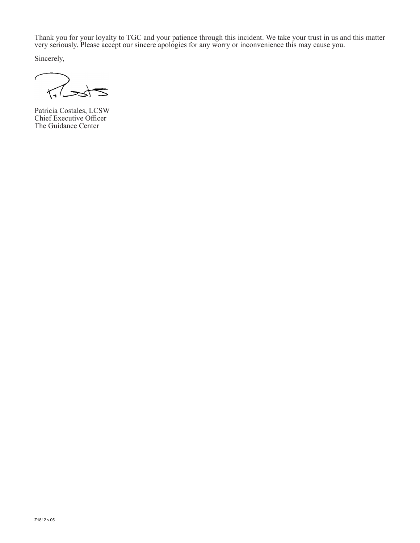Thank you for your loyalty to TGC and your patience through this incident. We take your trust in us and this matter very seriously. Please accept our sincere apologies for any worry or inconvenience this may cause you.

Sincerely,

 $\epsilon$  $\overline{\Lambda}$ 

Patricia Costales, LCSW Chief Executive Officer The Guidance Center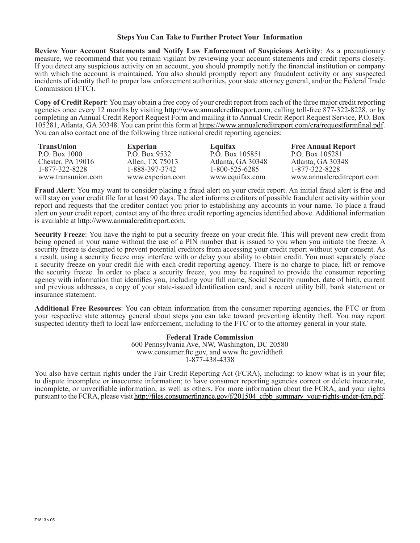### **Steps You Can Take to Further Protect Your Information**

**Review Your Account Statements and Notify Law Enforcement of Suspicious Activity**: As a precautionary measure, we recommend that you remain vigilant by reviewing your account statements and credit reports closely. If you detect any suspicious activity on an account, you should promptly notify the financial institution or company with which the account is maintained. You also should promptly report any fraudulent activity or any suspected incidents of identity theft to proper law enforcement authorities, your state attorney general, and/or the Federal Trade Commission (FTC).

**Copy of Credit Report**: You may obtain a free copy of your credit report from each of the three major credit reporting agencies once every 12 months by visiting http://www.annualcreditreport.com, calling toll-free 877-322-8228, or by completing an Annual Credit Report Request Form and mailing it to Annual Credit Report Request Service, P.O. Box 105281, Atlanta, GA 30348. You can print this form at https://www.annualcreditreport.com/cra/requestformfinal.pdf. You can also contact one of the following three national credit reporting agencies:

| TransUnion          | <b>Experian</b>  | Equifax           | <b>Free Annual Report</b>  |
|---------------------|------------------|-------------------|----------------------------|
| P.O. Box 1000       | P.O. Box 9532    | P.O. Box 105851   | P.O. Box 105281            |
| Chester, PA $19016$ | Allen, TX 75013  | Atlanta, GA 30348 | Atlanta, GA 30348          |
| 1-877-322-8228      | 1-888-397-3742   | 1-800-525-6285    | 1-877-322-8228             |
| www.transunion.com  | www.experian.com | www.equifax.com   | www.annualcreditreport.com |

**Fraud Alert**: You may want to consider placing a fraud alert on your credit report. An initial fraud alert is free and will stay on your credit file for at least 90 days. The alert informs creditors of possible fraudulent activity within your report and requests that the creditor contact you prior to establishing any accounts in your name. To place a fraud alert on your credit report, contact any of the three credit reporting agencies identified above. Additional information is available at http://www.annualcreditreport.com.

**Security Freeze**: You have the right to put a security freeze on your credit file. This will prevent new credit from being opened in your name without the use of a PIN number that is issued to you when you initiate the freeze. A security freeze is designed to prevent potential creditors from accessing your credit report without your consent. As a result, using a security freeze may interfere with or delay your ability to obtain credit. You must separately place a security freeze on your credit file with each credit reporting agency. There is no charge to place, lift or remove the security freeze. In order to place a security freeze, you may be required to provide the consumer reporting agency with information that identifies you, including your full name, Social Security number, date of birth, current and previous addresses, a copy of your state-issued identification card, and a recent utility bill, bank statement or insurance statement.

**Additional Free Resources**: You can obtain information from the consumer reporting agencies, the FTC or from your respective state attorney general about steps you can take toward preventing identity theft. You may report suspected identity theft to local law enforcement, including to the FTC or to the attorney general in your state.

### **Federal Trade Commission**

600 Pennsylvania Ave, NW, Washington, DC 20580 www.consumer.ftc.gov, and www.ftc.gov/idtheft 1-877-438-4338

You also have certain rights under the Fair Credit Reporting Act (FCRA), including: to know what is in your file; to dispute incomplete or inaccurate information; to have consumer reporting agencies correct or delete inaccurate, incomplete, or unverifiable information, as well as others. For more information about the FCRA, and your rights pursuant to the FCRA, please visit http://files.consumerfinance.gov/f/201504\_cfpb\_summary\_your-rights-under-fcra.pdf.